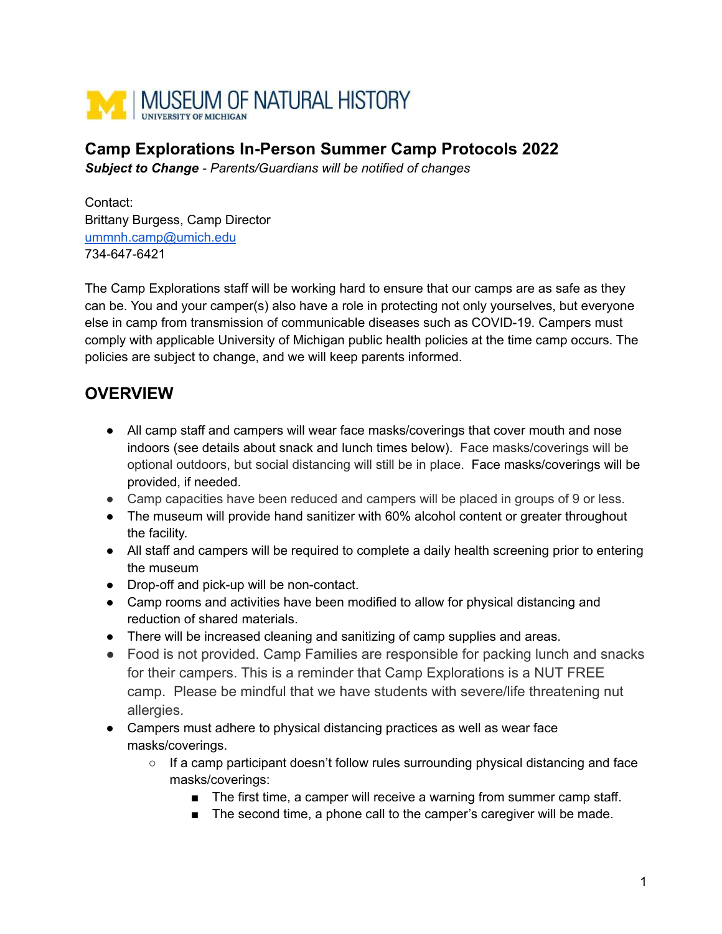

## **Camp Explorations In-Person Summer Camp Protocols 2022**

*Subject to Change - Parents/Guardians will be notified of changes*

Contact: Brittany Burgess, Camp Director [ummnh.camp@umich.edu](mailto:ummnh.camp@umich.edu) 734-647-6421

The Camp Explorations staff will be working hard to ensure that our camps are as safe as they can be. You and your camper(s) also have a role in protecting not only yourselves, but everyone else in camp from transmission of communicable diseases such as COVID-19. Campers must comply with applicable University of Michigan public health policies at the time camp occurs. The policies are subject to change, and we will keep parents informed.

# **OVERVIEW**

- All camp staff and campers will wear face masks/coverings that cover mouth and nose indoors (see details about snack and lunch times below). Face masks/coverings will be optional outdoors, but social distancing will still be in place. Face masks/coverings will be provided, if needed.
- Camp capacities have been reduced and campers will be placed in groups of 9 or less.
- The museum will provide hand sanitizer with 60% alcohol content or greater throughout the facility.
- All staff and campers will be required to complete a daily health screening prior to entering the museum
- Drop-off and pick-up will be non-contact.
- Camp rooms and activities have been modified to allow for physical distancing and reduction of shared materials.
- There will be increased cleaning and sanitizing of camp supplies and areas.
- Food is not provided. Camp Families are responsible for packing lunch and snacks for their campers. This is a reminder that Camp Explorations is a NUT FREE camp. Please be mindful that we have students with severe/life threatening nut allergies.
- Campers must adhere to physical distancing practices as well as wear face masks/coverings.
	- $\circ$  If a camp participant doesn't follow rules surrounding physical distancing and face masks/coverings:
		- The first time, a camper will receive a warning from summer camp staff.
		- The second time, a phone call to the camper's caregiver will be made.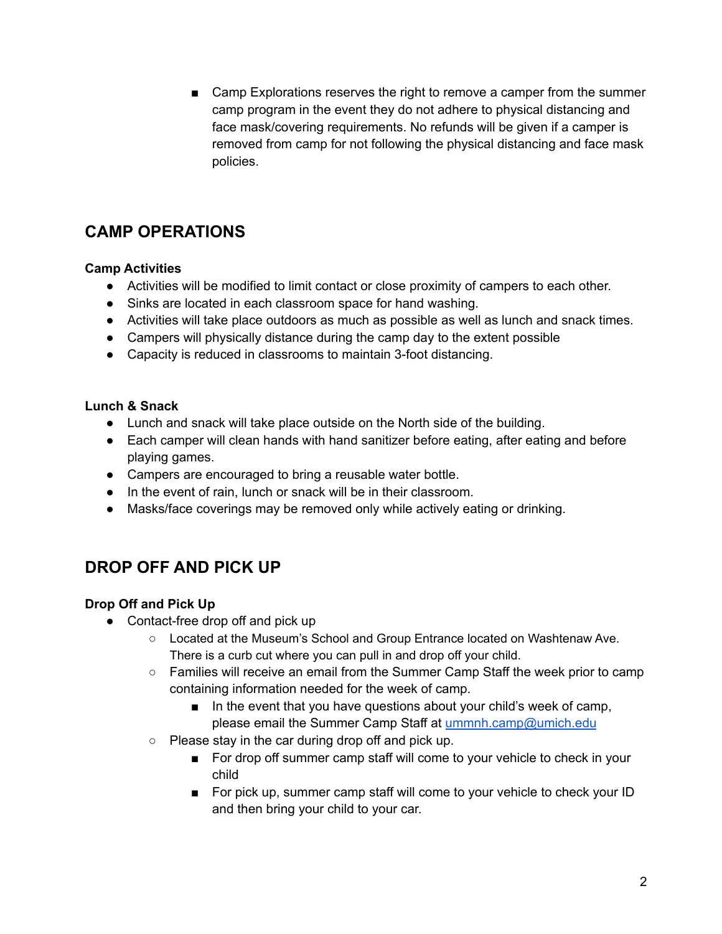■ Camp Explorations reserves the right to remove a camper from the summer camp program in the event they do not adhere to physical distancing and face mask/covering requirements. No refunds will be given if a camper is removed from camp for not following the physical distancing and face mask policies.

# **CAMP OPERATIONS**

### **Camp Activities**

- Activities will be modified to limit contact or close proximity of campers to each other.
- Sinks are located in each classroom space for hand washing.
- Activities will take place outdoors as much as possible as well as lunch and snack times.
- Campers will physically distance during the camp day to the extent possible
- Capacity is reduced in classrooms to maintain 3-foot distancing.

### **Lunch & Snack**

- Lunch and snack will take place outside on the North side of the building.
- Each camper will clean hands with hand sanitizer before eating, after eating and before playing games.
- Campers are encouraged to bring a reusable water bottle.
- In the event of rain, lunch or snack will be in their classroom.
- Masks/face coverings may be removed only while actively eating or drinking.

# **DROP OFF AND PICK UP**

### **Drop Off and Pick Up**

- Contact-free drop off and pick up
	- Located at the Museum's School and Group Entrance located on Washtenaw Ave. There is a curb cut where you can pull in and drop off your child.
	- Families will receive an email from the Summer Camp Staff the week prior to camp containing information needed for the week of camp.
		- In the event that you have questions about your child's week of camp, please email the Summer Camp Staff at [ummnh.camp@umich.edu](mailto:ummnh.camp@umich.edu)
	- Please stay in the car during drop off and pick up.
		- For drop off summer camp staff will come to your vehicle to check in your child
		- For pick up, summer camp staff will come to your vehicle to check your ID and then bring your child to your car.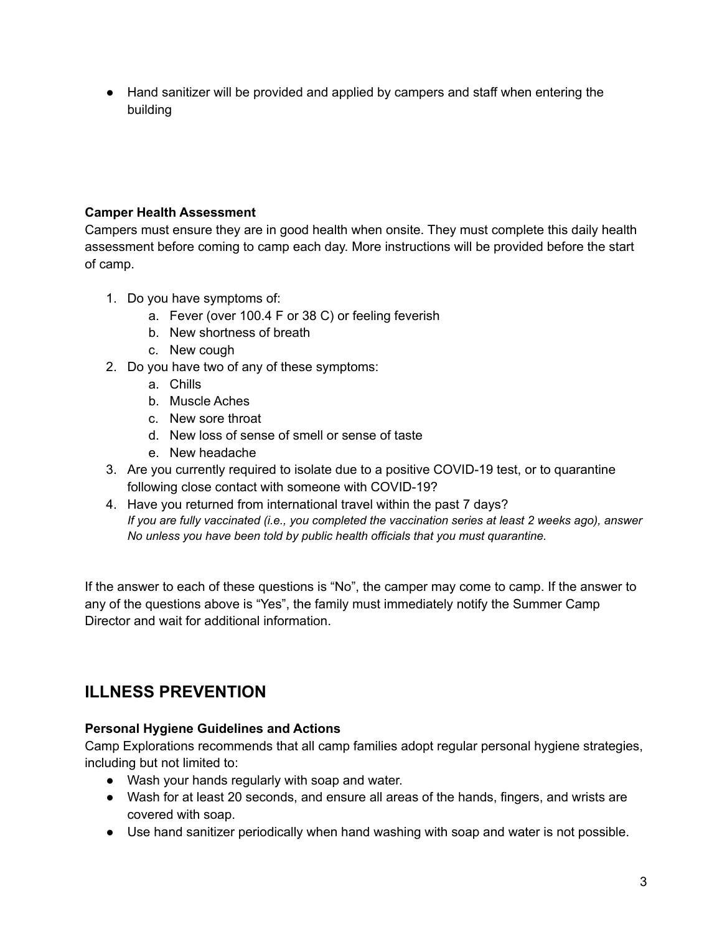● Hand sanitizer will be provided and applied by campers and staff when entering the building

## **Camper Health Assessment**

Campers must ensure they are in good health when onsite. They must complete this daily health assessment before coming to camp each day. More instructions will be provided before the start of camp.

- 1. Do you have symptoms of:
	- a. Fever (over 100.4 F or 38 C) or feeling feverish
	- b. New shortness of breath
	- c. New cough
- 2. Do you have two of any of these symptoms:
	- a. Chills
	- b. Muscle Aches
	- c. New sore throat
	- d. New loss of sense of smell or sense of taste
	- e. New headache
- 3. Are you currently required to isolate due to a positive COVID-19 test, or to quarantine following close contact with someone with COVID-19?
- 4. Have you returned from international travel within the past 7 days? *If you are fully vaccinated (i.e., you completed the vaccination series at least 2 weeks ago), answer No unless you have been told by public health officials that you must quarantine.*

If the answer to each of these questions is "No", the camper may come to camp. If the answer to any of the questions above is "Yes", the family must immediately notify the Summer Camp Director and wait for additional information.

# **ILLNESS PREVENTION**

### **Personal Hygiene Guidelines and Actions**

Camp Explorations recommends that all camp families adopt regular personal hygiene strategies, including but not limited to:

- Wash your hands regularly with soap and water.
- Wash for at least 20 seconds, and ensure all areas of the hands, fingers, and wrists are covered with soap.
- Use hand sanitizer periodically when hand washing with soap and water is not possible.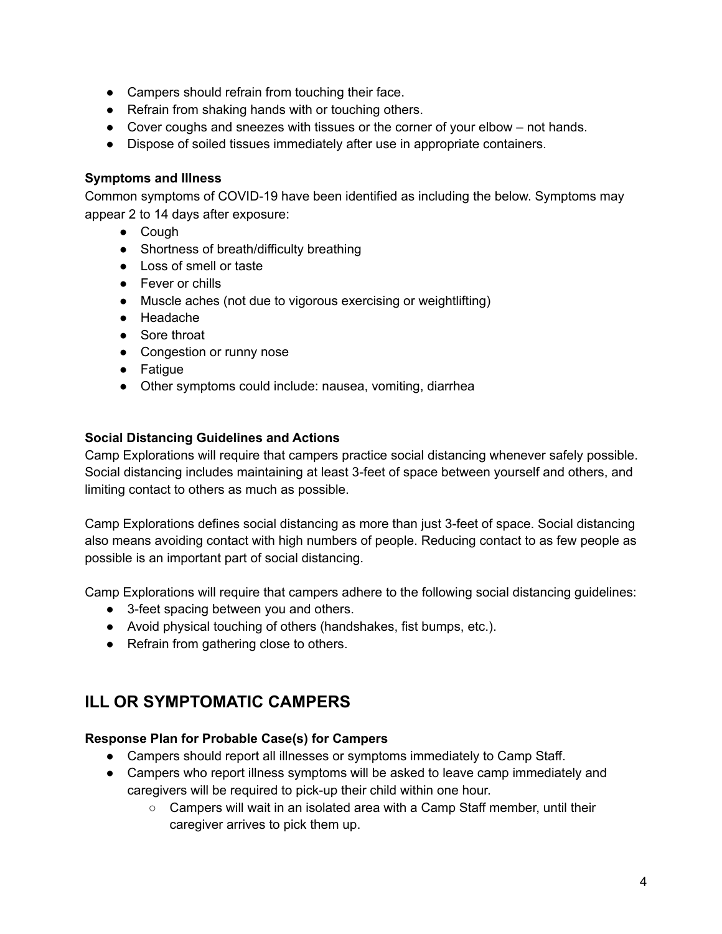- Campers should refrain from touching their face.
- Refrain from shaking hands with or touching others.
- Cover coughs and sneezes with tissues or the corner of your elbow not hands.
- Dispose of soiled tissues immediately after use in appropriate containers.

#### **Symptoms and Illness**

Common symptoms of COVID-19 have been identified as including the below. Symptoms may appear 2 to 14 days after exposure:

- Cough
- Shortness of breath/difficulty breathing
- Loss of smell or taste
- Fever or chills
- Muscle aches (not due to vigorous exercising or weightlifting)
- Headache
- Sore throat
- Congestion or runny nose
- Fatigue
- Other symptoms could include: nausea, vomiting, diarrhea

### **Social Distancing Guidelines and Actions**

Camp Explorations will require that campers practice social distancing whenever safely possible. Social distancing includes maintaining at least 3-feet of space between yourself and others, and limiting contact to others as much as possible.

Camp Explorations defines social distancing as more than just 3-feet of space. Social distancing also means avoiding contact with high numbers of people. Reducing contact to as few people as possible is an important part of social distancing.

Camp Explorations will require that campers adhere to the following social distancing guidelines:

- 3-feet spacing between you and others.
- Avoid physical touching of others (handshakes, fist bumps, etc.).
- Refrain from gathering close to others.

## **ILL OR SYMPTOMATIC CAMPERS**

#### **Response Plan for Probable Case(s) for Campers**

- Campers should report all illnesses or symptoms immediately to Camp Staff.
- Campers who report illness symptoms will be asked to leave camp immediately and caregivers will be required to pick-up their child within one hour.
	- $\circ$  Campers will wait in an isolated area with a Camp Staff member, until their caregiver arrives to pick them up.